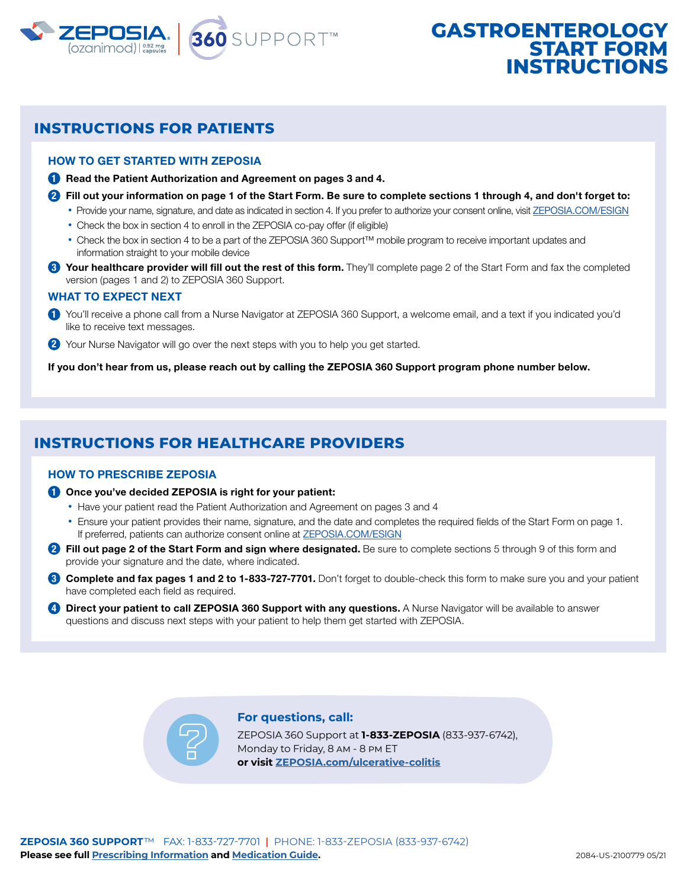

# **GASTROENTEROLOGY START FOR INSTRUCTIONS**

## **INSTRUCTIONS FOR PATIENTS**

#### HOW TO GET STARTED WITH ZEPOSIA

**1** Read the Patient Authorization and Agreement on pages 3 and 4.

- **2** Fill out your information on page 1 of the Start Form. Be sure to complete sections 1 through 4, and don't forget to:
	- Provide your name, signature, and date as indicated in section 4. If you prefer to authorize your consent online, visit [ZEPOSIA.COM/ESIGN](http://www.zeposia.com/esign)
	- Check the box in section 4 to enroll in the ZEPOSIA co-pay offer (if eligible)
	- Check the box in section 4 to be a part of the ZEPOSIA 360 Support™ mobile program to receive important updates and information straight to your mobile device
- **3** Your healthcare provider will fill out the rest of this form. They'll complete page 2 of the Start Form and fax the completed version (pages 1 and 2) to ZEPOSIA 360 Support.

#### WHAT TO EXPECT NEXT

- **1** You'll receive a phone call from a Nurse Navigator at ZEPOSIA 360 Support, a welcome email, and a text if you indicated you'd like to receive text messages.
- **2** Your Nurse Navigator will go over the next steps with you to help you get started.

If you don't hear from us, please reach out by calling the ZEPOSIA 360 Support program phone number below.

## **INSTRUCTIONS FOR HEALTHCARE PROVIDERS**

#### HOW TO PRESCRIBE ZEPOSIA

- **1** Once you've decided ZEPOSIA is right for your patient:
	- Have your patient read the Patient Authorization and Agreement on pages 3 and 4
	- Ensure your patient provides their name, signature, and the date and completes the required fields of the Start Form on page 1. If preferred, patients can authorize consent online at [ZEPOSIA.COM/ESIGN](http://www.zeposia.com/esign)
- **2** Fill out page 2 of the Start Form and sign where designated. Be sure to complete sections 5 through 9 of this form and provide your signature and the date, where indicated.
- **3** Complete and fax pages 1 and 2 to 1-833-727-7701. Don't forget to double-check this form to make sure you and your patient have completed each field as required.
- **4** Direct your patient to call ZEPOSIA 360 Support with any questions. A Nurse Navigator will be available to answer questions and discuss next steps with your patient to help them get started with ZEPOSIA.

#### **For questions, call:**

ZEPOSIA 360 Support at **1-833-ZEPOSIA** (833-937-6742), Monday to Friday, 8 am - 8 pm ET **or visit [ZEPOSIA.com/ulcerative-colitis](https://www.zeposia.com/ulcerative-colitis)**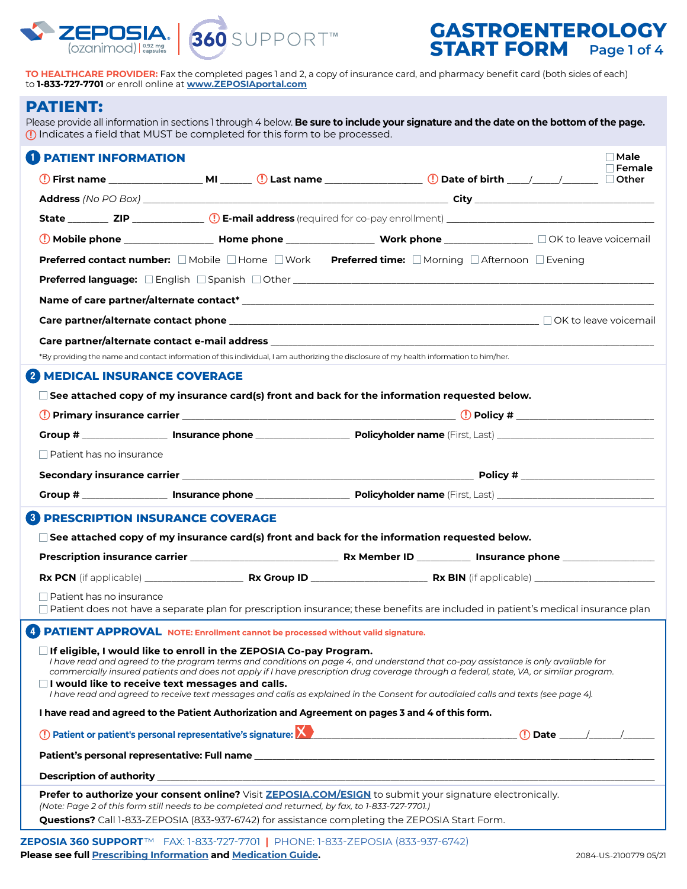



# **GASTROENTEROLOGY START FORM** Page 1 of 4

**TO HEALTHCARE PROVIDER:** Fax the completed pages 1 and 2, a copy of insurance card, and pharmacy benefit card (both sides of each) to **1-833-727-7701** or enroll online at **[www.ZEPOSIAportal.com](https://www.zeposiaportal.com/zeposiaprovider/s/login/?ec=302&startURL=%2Fzeposiaprovider%2Fs%2F)**

### **PATIENT:**

 $\overline{C}$ 

Please provide all information in sections 1 through 4 below. **Be sure to include your signature and the date on the bottom of the page.** Indicates a field that MUST be completed for this form to be processed.

| <b>PATIENT INFORMATION</b>                                                                                                                                                                                                                                                                                                                                   |  |  | $\Box$ Male $\Box$<br>Female |
|--------------------------------------------------------------------------------------------------------------------------------------------------------------------------------------------------------------------------------------------------------------------------------------------------------------------------------------------------------------|--|--|------------------------------|
|                                                                                                                                                                                                                                                                                                                                                              |  |  |                              |
|                                                                                                                                                                                                                                                                                                                                                              |  |  |                              |
|                                                                                                                                                                                                                                                                                                                                                              |  |  |                              |
|                                                                                                                                                                                                                                                                                                                                                              |  |  |                              |
| <b>Preferred contact number:</b> □ Mobile □ Home □ Work Preferred time: □ Morning □ Afternoon □ Evening                                                                                                                                                                                                                                                      |  |  |                              |
|                                                                                                                                                                                                                                                                                                                                                              |  |  |                              |
|                                                                                                                                                                                                                                                                                                                                                              |  |  |                              |
|                                                                                                                                                                                                                                                                                                                                                              |  |  |                              |
| Care partner/alternate contact e-mail address entrance and all and a state of the control of the control of the                                                                                                                                                                                                                                              |  |  |                              |
| *By providing the name and contact information of this individual, I am authorizing the disclosure of my health information to him/her.                                                                                                                                                                                                                      |  |  |                              |
| <b>MEDICAL INSURANCE COVERAGE</b>                                                                                                                                                                                                                                                                                                                            |  |  |                              |
| $\square$ See attached copy of my insurance card(s) front and back for the information requested below.                                                                                                                                                                                                                                                      |  |  |                              |
|                                                                                                                                                                                                                                                                                                                                                              |  |  |                              |
|                                                                                                                                                                                                                                                                                                                                                              |  |  |                              |
| $\Box$ Patient has no insurance                                                                                                                                                                                                                                                                                                                              |  |  |                              |
|                                                                                                                                                                                                                                                                                                                                                              |  |  |                              |
|                                                                                                                                                                                                                                                                                                                                                              |  |  |                              |
| <b>3 PRESCRIPTION INSURANCE COVERAGE</b>                                                                                                                                                                                                                                                                                                                     |  |  |                              |
| $\Box$ See attached copy of my insurance card(s) front and back for the information requested below.                                                                                                                                                                                                                                                         |  |  |                              |
|                                                                                                                                                                                                                                                                                                                                                              |  |  |                              |
|                                                                                                                                                                                                                                                                                                                                                              |  |  |                              |
| $\Box$ Patient has no insurance                                                                                                                                                                                                                                                                                                                              |  |  |                              |
| □ Patient does not have a separate plan for prescription insurance; these benefits are included in patient's medical insurance plan                                                                                                                                                                                                                          |  |  |                              |
| 4 PATIENT APPROVAL NOTE: Enrollment cannot be processed without valid signature.                                                                                                                                                                                                                                                                             |  |  |                              |
| $\square$ If eligible, I would like to enroll in the ZEPOSIA Co-pay Program.<br>I have read and agreed to the program terms and conditions on page 4, and understand that co-pay assistance is only available for<br>commercially insured patients and does not apply if I have prescription drug coverage through a federal, state, VA, or similar program. |  |  |                              |
| $\Box$ I would like to receive text messages and calls.<br>I have read and agreed to receive text messages and calls as explained in the Consent for autodialed calls and texts (see page 4).                                                                                                                                                                |  |  |                              |
| I have read and agreed to the Patient Authorization and Agreement on pages 3 and 4 of this form.                                                                                                                                                                                                                                                             |  |  |                              |
|                                                                                                                                                                                                                                                                                                                                                              |  |  |                              |
|                                                                                                                                                                                                                                                                                                                                                              |  |  |                              |
|                                                                                                                                                                                                                                                                                                                                                              |  |  |                              |
| Prefer to authorize your consent online? Visit ZEPOSIA.COM/ESIGN to submit your signature electronically.<br>(Note: Page 2 of this form still needs to be completed and returned, by fax, to 1-833-727-7701.)                                                                                                                                                |  |  |                              |
| Questions? Call 1-833-ZEPOSIA (833-937-6742) for assistance completing the ZEPOSIA Start Form.                                                                                                                                                                                                                                                               |  |  |                              |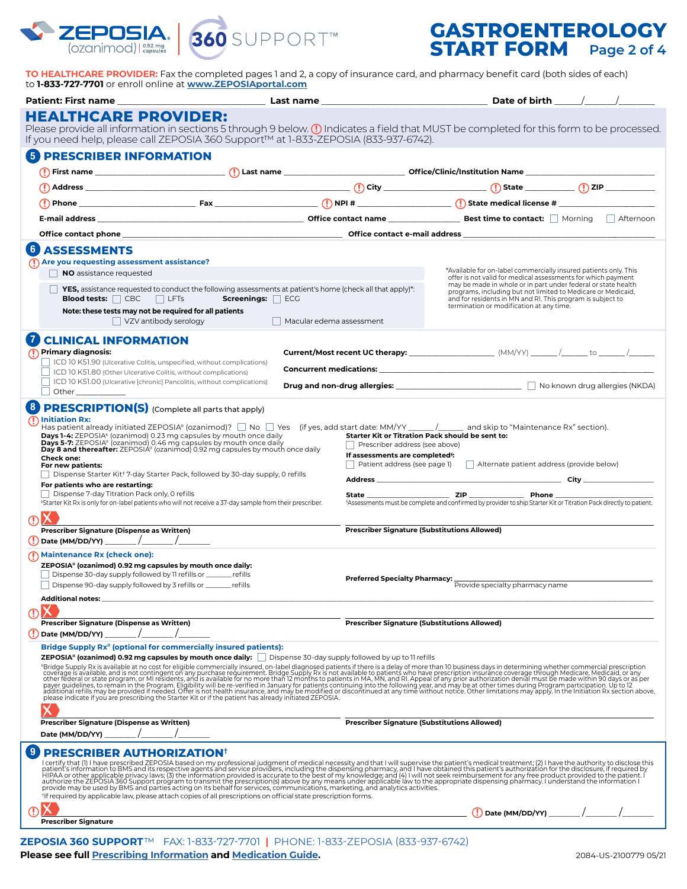

# **GASTROENTEROLOGY START FORM Page 2 of 4**

**TO HEALTHCARE PROVIDER:** Fax the completed pages 1 and 2, a copy of insurance card, and pharmacy benefit card (both sides of each) to **1-833-727-7701** or enroll online at **[www.ZEPOSIAportal.com](https://www.zeposiaportal.com/zeposiaprovider/s/login/?ec=302&startURL=%2Fzeposiaprovider%2Fs%2F)**

| <b>HEALTHCARE PROVIDER:</b>                                                                                                                                                                                                                                                                                                                                                                                                                                                                                                                                          |                        |                          |                                                                                                                                                                                                                                                                                                                                               |                                                                                                                                                                                                                                |  |  |  |  |
|----------------------------------------------------------------------------------------------------------------------------------------------------------------------------------------------------------------------------------------------------------------------------------------------------------------------------------------------------------------------------------------------------------------------------------------------------------------------------------------------------------------------------------------------------------------------|------------------------|--------------------------|-----------------------------------------------------------------------------------------------------------------------------------------------------------------------------------------------------------------------------------------------------------------------------------------------------------------------------------------------|--------------------------------------------------------------------------------------------------------------------------------------------------------------------------------------------------------------------------------|--|--|--|--|
| Please provide all information in sections 5 through 9 below. (1) Indicates a field that MUST be completed for this form to be processed.<br>If you need help, please call ZEPOSIA 360 Support™ at 1-833-ZEPOSIA (833-937-6742).                                                                                                                                                                                                                                                                                                                                     |                        |                          |                                                                                                                                                                                                                                                                                                                                               |                                                                                                                                                                                                                                |  |  |  |  |
| 5)<br><b>PRESCRIBER INFORMATION</b>                                                                                                                                                                                                                                                                                                                                                                                                                                                                                                                                  |                        |                          |                                                                                                                                                                                                                                                                                                                                               |                                                                                                                                                                                                                                |  |  |  |  |
|                                                                                                                                                                                                                                                                                                                                                                                                                                                                                                                                                                      |                        |                          |                                                                                                                                                                                                                                                                                                                                               |                                                                                                                                                                                                                                |  |  |  |  |
|                                                                                                                                                                                                                                                                                                                                                                                                                                                                                                                                                                      |                        |                          |                                                                                                                                                                                                                                                                                                                                               |                                                                                                                                                                                                                                |  |  |  |  |
|                                                                                                                                                                                                                                                                                                                                                                                                                                                                                                                                                                      |                        |                          |                                                                                                                                                                                                                                                                                                                                               |                                                                                                                                                                                                                                |  |  |  |  |
|                                                                                                                                                                                                                                                                                                                                                                                                                                                                                                                                                                      |                        |                          |                                                                                                                                                                                                                                                                                                                                               |                                                                                                                                                                                                                                |  |  |  |  |
|                                                                                                                                                                                                                                                                                                                                                                                                                                                                                                                                                                      |                        |                          |                                                                                                                                                                                                                                                                                                                                               |                                                                                                                                                                                                                                |  |  |  |  |
| 6<br><b>ASSESSMENTS</b>                                                                                                                                                                                                                                                                                                                                                                                                                                                                                                                                              |                        |                          |                                                                                                                                                                                                                                                                                                                                               |                                                                                                                                                                                                                                |  |  |  |  |
| $\bigcap$ Are you requesting assessment assistance?                                                                                                                                                                                                                                                                                                                                                                                                                                                                                                                  |                        |                          |                                                                                                                                                                                                                                                                                                                                               |                                                                                                                                                                                                                                |  |  |  |  |
| NO assistance requested                                                                                                                                                                                                                                                                                                                                                                                                                                                                                                                                              |                        |                          |                                                                                                                                                                                                                                                                                                                                               | *Available for on-label commercially insured patients only. This<br>offer is not valid for medical assessments for which payment                                                                                               |  |  |  |  |
| YES, assistance requested to conduct the following assessments at patient's home (check all that apply)*:<br><b>Blood tests:</b> $\Box$ CBC $\Box$ LFTs<br>Note: these tests may not be required for all patients                                                                                                                                                                                                                                                                                                                                                    | Screenings: $\Box$ ECG |                          | may be made in whole or in part under federal or state health<br>programs, including but not limited to Medicare or Medicaid,<br>and for residents in MN and RI. This program is subject to<br>termination or modification at any time.                                                                                                       |                                                                                                                                                                                                                                |  |  |  |  |
| $\Box$ VZV antibody serology                                                                                                                                                                                                                                                                                                                                                                                                                                                                                                                                         |                        | Macular edema assessment |                                                                                                                                                                                                                                                                                                                                               |                                                                                                                                                                                                                                |  |  |  |  |
| <b>CLINICAL INFORMATION</b>                                                                                                                                                                                                                                                                                                                                                                                                                                                                                                                                          |                        |                          |                                                                                                                                                                                                                                                                                                                                               |                                                                                                                                                                                                                                |  |  |  |  |
| (1) Primary diagnosis:                                                                                                                                                                                                                                                                                                                                                                                                                                                                                                                                               |                        |                          |                                                                                                                                                                                                                                                                                                                                               |                                                                                                                                                                                                                                |  |  |  |  |
| ICD 10 K51.90 (Ulcerative Colitis, unspecified, without complications)<br>ICD 10 K51.80 (Other Ulcerative Colitis, without complications)                                                                                                                                                                                                                                                                                                                                                                                                                            |                        |                          |                                                                                                                                                                                                                                                                                                                                               | Concurrent medications: Note that the concentration of the concentration of the concentration of the concentration of the concentration of the concentration of the concentration of the concentration of the concentration of |  |  |  |  |
| ICD 10 K51.00 (Ulcerative [chronic] Pancolitis, without complications)                                                                                                                                                                                                                                                                                                                                                                                                                                                                                               |                        |                          |                                                                                                                                                                                                                                                                                                                                               |                                                                                                                                                                                                                                |  |  |  |  |
| 8 PRESCRIPTION(S) (Complete all parts that apply)                                                                                                                                                                                                                                                                                                                                                                                                                                                                                                                    |                        |                          |                                                                                                                                                                                                                                                                                                                                               |                                                                                                                                                                                                                                |  |  |  |  |
| Days 1-4: ZEPOSIA® (ozanimod) 0.23 mg capsules by mouth once daily<br>Days 5-7: ZEPOSIA® (ozanimod) 0.46 mg capsules by mouth once daily<br>Day 8 and thereafter: ZEPOSIA® (ozanimod) 0.92 mg capsules by mouth once daily<br><b>Check one:</b><br>For new patients:<br>Dispense Starter Kit <sup>‡</sup> 7-day Starter Pack, followed by 30-day supply, 0 refills<br>For patients who are restarting:<br>Dispense 7-day Titration Pack only, 0 refills<br>*Starter Kit Rx is only for on-label patients who will not receive a 37-day sample from their prescriber. |                        |                          | Starter Kit or Titration Pack should be sent to:<br>Prescriber address (see above)<br>If assessments are completed <sup>5</sup> :<br>Patient address (see page 1) Alternate patient address (provide below)<br><sup>§</sup> Assessments must be complete and confirmed by provider to ship Starter Kit or Titration Pack directly to patient. |                                                                                                                                                                                                                                |  |  |  |  |
| Prescriber Signature (Dispense as Written)                                                                                                                                                                                                                                                                                                                                                                                                                                                                                                                           |                        |                          | <b>Prescriber Signature (Substitutions Allowed)</b>                                                                                                                                                                                                                                                                                           |                                                                                                                                                                                                                                |  |  |  |  |
|                                                                                                                                                                                                                                                                                                                                                                                                                                                                                                                                                                      |                        |                          |                                                                                                                                                                                                                                                                                                                                               |                                                                                                                                                                                                                                |  |  |  |  |
| (I) Maintenance Rx (check one):<br>ZEPOSIA® (ozanimod) 0.92 mg capsules by mouth once daily:<br>Dispense 30-day supply followed by 11 refills or _______ refills<br>Dispense 90-day supply followed by 3 refills or ______ refills                                                                                                                                                                                                                                                                                                                                   |                        |                          | <b>Preferred Specialty Pharmacy:</b>                                                                                                                                                                                                                                                                                                          | Provide specialty pharmacy name                                                                                                                                                                                                |  |  |  |  |
| <b>Additional notes:</b>                                                                                                                                                                                                                                                                                                                                                                                                                                                                                                                                             |                        |                          |                                                                                                                                                                                                                                                                                                                                               |                                                                                                                                                                                                                                |  |  |  |  |
| Prescriber Signature (Dispense as Written)                                                                                                                                                                                                                                                                                                                                                                                                                                                                                                                           |                        |                          | <b>Prescriber Signature (Substitutions Allowed)</b>                                                                                                                                                                                                                                                                                           |                                                                                                                                                                                                                                |  |  |  |  |
| (!) Date (MM/DD/YY)<br>Bridge Supply Rx <sup>"</sup> (optional for commercially insured patients):<br><b>ZEPOSIA<sup>®</sup> (ozanimod) 0.92 mg capsules by mouth once daily:</b> $\Box$ Dispense 30-day supply followed by up to 11 refills                                                                                                                                                                                                                                                                                                                         |                        |                          |                                                                                                                                                                                                                                                                                                                                               | "Bridge Supply Rx is available at no cost for eligible commercially insured, on-label diagnosed patients if there is a delay of more than 10 business days in determining whether commercial prescription coverage is availabl |  |  |  |  |
| Prescriber Signature (Dispense as Written)<br>Date (MM/DD/YY)                                                                                                                                                                                                                                                                                                                                                                                                                                                                                                        |                        |                          | <b>Prescriber Signature (Substitutions Allowed)</b>                                                                                                                                                                                                                                                                                           |                                                                                                                                                                                                                                |  |  |  |  |
| <b>PRESCRIBER AUTHORIZATION</b> <sup>†</sup><br><sup>t</sup> If required by applicable law, please attach copies of all prescriptions on official state prescription forms.                                                                                                                                                                                                                                                                                                                                                                                          |                        |                          |                                                                                                                                                                                                                                                                                                                                               | I certify that (I) I have prescribed ZEPOSIA based on my professional judgment of medical necessity and that I will supervise the patient's medical treatment; (2) I have the authority to disclose this patient's information |  |  |  |  |
|                                                                                                                                                                                                                                                                                                                                                                                                                                                                                                                                                                      |                        |                          |                                                                                                                                                                                                                                                                                                                                               |                                                                                                                                                                                                                                |  |  |  |  |
| <b>Prescriber Signature</b>                                                                                                                                                                                                                                                                                                                                                                                                                                                                                                                                          |                        |                          |                                                                                                                                                                                                                                                                                                                                               |                                                                                                                                                                                                                                |  |  |  |  |

**ZEPOSIA 360 SUPPORT**™FAX: 1-833-727-7701 **|** PHONE: 1-833-ZEPOSIA (833-937-6742) **Please see full [Prescribing Information](https://packageinserts.bms.com/pi/pi_zeposia.pdf) and [Medication Guide.](https://packageinserts.bms.com/medguide/medguide_zeposia.pdf)** 2084-05-2100779 05/21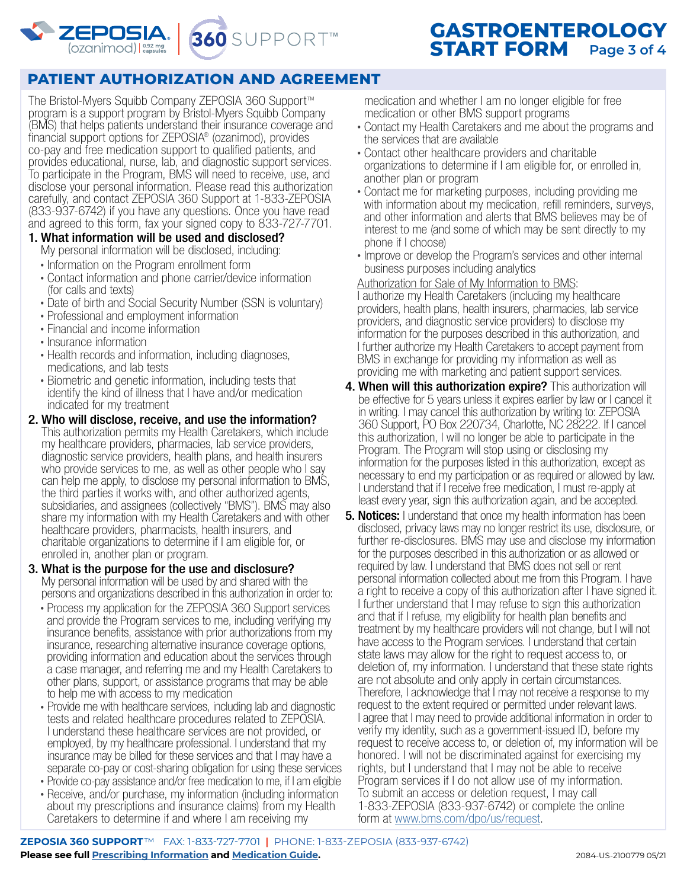

# **PATIENT AUTHORIZATION AND AGREEMENT**

360 SUPPORT™

The Bristol-Myers Squibb Company ZEPOSIA 360 Support™ program is a support program by Bristol-Myers Squibb Company (BMS) that helps patients understand their insurance coverage and financial support options for ZEPOSIA® (ozanimod), provides co-pay and free medication support to qualified patients, and provides educational, nurse, lab, and diagnostic support services. To participate in the Program, BMS will need to receive, use, and disclose your personal information. Please read this authorization carefully, and contact ZEPOSIA 360 Support at 1-833-ZEPOSIA (833-937-6742) if you have any questions. Once you have read and agreed to this form, fax your signed copy to 833-727-7701.

- 1. What information will be used and disclosed? My personal information will be disclosed, including:
	- Information on the Program enrollment form
	- Contact information and phone carrier/device information (for calls and texts)
	- Date of birth and Social Security Number (SSN is voluntary)
	- Professional and employment information
	- Financial and income information
	- Insurance information
	- Health records and information, including diagnoses, medications, and lab tests
	- Biometric and genetic information, including tests that identify the kind of illness that I have and/or medication indicated for my treatment
- 2. Who will disclose, receive, and use the information? This authorization permits my Health Caretakers, which include my healthcare providers, pharmacies, lab service providers, diagnostic service providers, health plans, and health insurers who provide services to me, as well as other people who I say can help me apply, to disclose my personal information to BMS, the third parties it works with, and other authorized agents, subsidiaries, and assignees (collectively "BMS"). BMS may also share my information with my Health Caretakers and with other healthcare providers, pharmacists, health insurers, and charitable organizations to determine if I am eligible for, or enrolled in, another plan or program.
- 3. What is the purpose for the use and disclosure? My personal information will be used by and shared with the persons and organizations described in this authorization in order to:
	- Process my application for the ZEPOSIA 360 Support services and provide the Program services to me, including verifying my insurance benefits, assistance with prior authorizations from my insurance, researching alternative insurance coverage options, providing information and education about the services through a case manager, and referring me and my Health Caretakers to other plans, support, or assistance programs that may be able to help me with access to my medication
	- Provide me with healthcare services, including lab and diagnostic tests and related healthcare procedures related to ZEPOSIA. I understand these healthcare services are not provided, or employed, by my healthcare professional. I understand that my insurance may be billed for these services and that I may have a separate co-pay or cost-sharing obligation for using these services
	- Provide co-pay assistance and/or free medication to me, if I am eligible
	- Receive, and/or purchase, my information (including information about my prescriptions and insurance claims) from my Health Caretakers to determine if and where I am receiving my

medication and whether I am no longer eligible for free medication or other BMS support programs

- Contact my Health Caretakers and me about the programs and the services that are available
- Contact other healthcare providers and charitable organizations to determine if I am eligible for, or enrolled in, another plan or program
- Contact me for marketing purposes, including providing me with information about my medication, refill reminders, surveys, and other information and alerts that BMS believes may be of interest to me (and some of which may be sent directly to my phone if I choose)
- Improve or develop the Program's services and other internal business purposes including analytics

#### Authorization for Sale of My Information to BMS:

I authorize my Health Caretakers (including my healthcare providers, health plans, health insurers, pharmacies, lab service providers, and diagnostic service providers) to disclose my information for the purposes described in this authorization, and I further authorize my Health Caretakers to accept payment from BMS in exchange for providing my information as well as providing me with marketing and patient support services.

- **4. When will this authorization expire?** This authorization will be effective for 5 years unless it expires earlier by law or I cancel it in writing. I may cancel this authorization by writing to: ZEPOSIA 360 Support, PO Box 220734, Charlotte, NC 28222. If I cancel this authorization, I will no longer be able to participate in the Program. The Program will stop using or disclosing my information for the purposes listed in this authorization, except as necessary to end my participation or as required or allowed by law. I understand that if I receive free medication, I must re-apply at least every year, sign this authorization again, and be accepted.
- **5. Notices:** I understand that once my health information has been disclosed, privacy laws may no longer restrict its use, disclosure, or further re-disclosures. BMS may use and disclose my information for the purposes described in this authorization or as allowed or required by law. I understand that BMS does not sell or rent personal information collected about me from this Program. I have a right to receive a copy of this authorization after I have signed it. I further understand that I may refuse to sign this authorization and that if I refuse, my eligibility for health plan benefits and treatment by my healthcare providers will not change, but I will not have access to the Program services. I understand that certain state laws may allow for the right to request access to, or deletion of, my information. I understand that these state rights are not absolute and only apply in certain circumstances. Therefore, I acknowledge that I may not receive a response to my request to the extent required or permitted under relevant laws. I agree that I may need to provide additional information in order to verify my identity, such as a government-issued ID, before my request to receive access to, or deletion of, my information will be honored. I will not be discriminated against for exercising my rights, but I understand that I may not be able to receive Program services if I do not allow use of my information. To submit an access or deletion request, I may call 1-833-ZEPOSIA (833-937-6742) or complete the online form at [www.bms.com/dpo/us/request](https://www.bms.com/dpo/us/request.html).

**ZEPOSIA 360 SUPPORT**™FAX: 1-833-727-7701 **|** PHONE: 1-833-ZEPOSIA (833-937-6742) **Please see full [Prescribing Information](https://packageinserts.bms.com/pi/pi_zeposia.pdf) and [Medication Guide.](https://packageinserts.bms.com/medguide/medguide_zeposia.pdf)** 2084-US-2100779 05/21

# **GASTROENTEROLOGY START FORM Page 3 of 4**